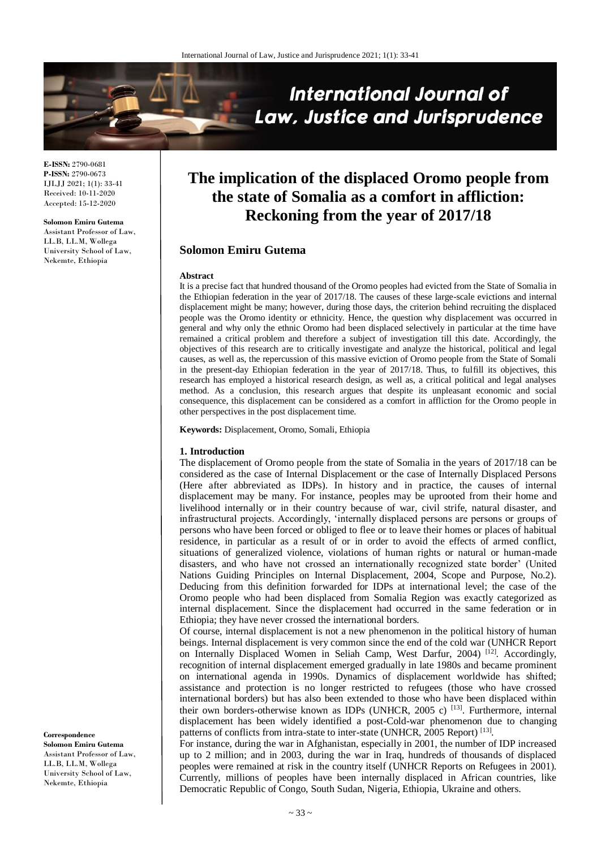

**E-ISSN:** 2790-0681 **P-ISSN:** 2790-0673 IJLJJ 2021; 1(1): 33-41 Received: 10-11-2020 Accepted: 15-12-2020

#### **Solomon Emiru Gutema**

Assistant Professor of Law, LL.B, LL.M, Wollega University School of Law, Nekemte, Ethiopia

# **The implication of the displaced Oromo people from the state of Somalia as a comfort in affliction: Reckoning from the year of 2017/18**

# **Solomon Emiru Gutema**

#### **Abstract**

It is a precise fact that hundred thousand of the Oromo peoples had evicted from the State of Somalia in the Ethiopian federation in the year of 2017/18. The causes of these large-scale evictions and internal displacement might be many; however, during those days, the criterion behind recruiting the displaced people was the Oromo identity or ethnicity. Hence, the question why displacement was occurred in general and why only the ethnic Oromo had been displaced selectively in particular at the time have remained a critical problem and therefore a subject of investigation till this date. Accordingly, the objectives of this research are to critically investigate and analyze the historical, political and legal causes, as well as, the repercussion of this massive eviction of Oromo people from the State of Somali in the present-day Ethiopian federation in the year of 2017/18. Thus, to fulfill its objectives, this research has employed a historical research design, as well as, a critical political and legal analyses method. As a conclusion, this research argues that despite its unpleasant economic and social consequence, this displacement can be considered as a comfort in affliction for the Oromo people in other perspectives in the post displacement time.

**Keywords:** Displacement, Oromo, Somali, Ethiopia

#### **1. Introduction**

The displacement of Oromo people from the state of Somalia in the years of 2017/18 can be considered as the case of Internal Displacement or the case of Internally Displaced Persons (Here after abbreviated as IDPs). In history and in practice, the causes of internal displacement may be many. For instance, peoples may be uprooted from their home and livelihood internally or in their country because of war, civil strife, natural disaster, and infrastructural projects. Accordingly, 'internally displaced persons are persons or groups of persons who have been forced or obliged to flee or to leave their homes or places of habitual residence, in particular as a result of or in order to avoid the effects of armed conflict, situations of generalized violence, violations of human rights or natural or human-made disasters, and who have not crossed an internationally recognized state border' (United Nations Guiding Principles on Internal Displacement, 2004, Scope and Purpose, No.2). Deducing from this definition forwarded for IDPs at international level; the case of the Oromo people who had been displaced from Somalia Region was exactly categorized as internal displacement. Since the displacement had occurred in the same federation or in Ethiopia; they have never crossed the international borders.

Of course, internal displacement is not a new phenomenon in the political history of human beings. Internal displacement is very common since the end of the cold war (UNHCR Report on Internally Displaced Women in Seliah Camp, West Darfur, 2004)<sup>[12]</sup>. Accordingly, recognition of internal displacement emerged gradually in late 1980s and became prominent on international agenda in 1990s. Dynamics of displacement worldwide has shifted; assistance and protection is no longer restricted to refugees (those who have crossed international borders) but has also been extended to those who have been displaced within their own borders-otherwise known as IDPs (UNHCR, 2005 c)<sup>[13]</sup>. Furthermore, internal displacement has been widely identified a post-Cold-war phenomenon due to changing patterns of conflicts from intra-state to inter-state (UNHCR, 2005 Report)<sup>[13]</sup>.

For instance, during the war in Afghanistan, especially in 2001, the number of IDP increased up to 2 million; and in 2003, during the war in Iraq, hundreds of thousands of displaced peoples were remained at risk in the country itself (UNHCR Reports on Refugees in 2001). Currently, millions of peoples have been internally displaced in African countries, like Democratic Republic of Congo, South Sudan, Nigeria, Ethiopia, Ukraine and others.

**Correspondence Solomon Emiru Gutema** Assistant Professor of Law, LL.B, LL.M, Wollega University School of Law, Nekemte, Ethiopia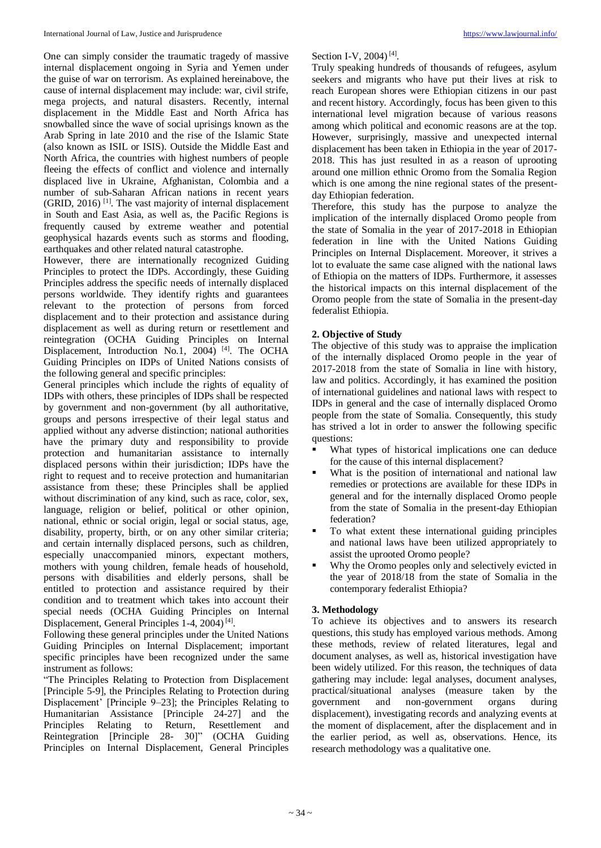One can simply consider the traumatic tragedy of massive internal displacement ongoing in Syria and Yemen under the guise of war on terrorism. As explained hereinabove, the cause of internal displacement may include: war, civil strife, mega projects, and natural disasters. Recently, internal displacement in the Middle East and North Africa has snowballed since the wave of social uprisings known as the Arab Spring in late 2010 and the rise of the Islamic State (also known as ISIL or ISIS). Outside the Middle East and North Africa, the countries with highest numbers of people fleeing the effects of conflict and violence and internally displaced live in Ukraine, Afghanistan, Colombia and a number of sub-Saharan African nations in recent years (GRID, 2016) [1]. The vast majority of internal displacement in South and East Asia, as well as, the Pacific Regions is frequently caused by extreme weather and potential geophysical hazards events such as storms and flooding, earthquakes and other related natural catastrophe.

However, there are internationally recognized Guiding Principles to protect the IDPs. Accordingly, these Guiding Principles address the specific needs of internally displaced persons worldwide. They identify rights and guarantees relevant to the protection of persons from forced displacement and to their protection and assistance during displacement as well as during return or resettlement and reintegration (OCHA Guiding Principles on Internal Displacement, Introduction No.1, 2004)<sup>[4]</sup>. The OCHA Guiding Principles on IDPs of United Nations consists of the following general and specific principles:

General principles which include the rights of equality of IDPs with others, these principles of IDPs shall be respected by government and non-government (by all authoritative, groups and persons irrespective of their legal status and applied without any adverse distinction; national authorities have the primary duty and responsibility to provide protection and humanitarian assistance to internally displaced persons within their jurisdiction; IDPs have the right to request and to receive protection and humanitarian assistance from these; these Principles shall be applied without discrimination of any kind, such as race, color, sex, language, religion or belief, political or other opinion, national, ethnic or social origin, legal or social status, age, disability, property, birth, or on any other similar criteria; and certain internally displaced persons, such as children, especially unaccompanied minors, expectant mothers, mothers with young children, female heads of household, persons with disabilities and elderly persons, shall be entitled to protection and assistance required by their condition and to treatment which takes into account their special needs (OCHA Guiding Principles on Internal Displacement, General Principles 1-4, 2004)<sup>[4]</sup>.

Following these general principles under the United Nations Guiding Principles on Internal Displacement; important specific principles have been recognized under the same instrument as follows:

"The Principles Relating to Protection from Displacement [Principle 5-9], the Principles Relating to Protection during Displacement' [Principle 9–23]; the Principles Relating to Humanitarian Assistance [Principle 24-27] and the Principles Relating to Return, Resettlement and Reintegration [Principle 28- 30]" (OCHA Guiding Principles on Internal Displacement, General Principles

## Section I-V, 2004)<sup>[4]</sup>.

Truly speaking hundreds of thousands of refugees, asylum seekers and migrants who have put their lives at risk to reach European shores were Ethiopian citizens in our past and recent history. Accordingly, focus has been given to this international level migration because of various reasons among which political and economic reasons are at the top. However, surprisingly, massive and unexpected internal displacement has been taken in Ethiopia in the year of 2017- 2018. This has just resulted in as a reason of uprooting around one million ethnic Oromo from the Somalia Region which is one among the nine regional states of the presentday Ethiopian federation.

Therefore, this study has the purpose to analyze the implication of the internally displaced Oromo people from the state of Somalia in the year of 2017-2018 in Ethiopian federation in line with the United Nations Guiding Principles on Internal Displacement. Moreover, it strives a lot to evaluate the same case aligned with the national laws of Ethiopia on the matters of IDPs. Furthermore, it assesses the historical impacts on this internal displacement of the Oromo people from the state of Somalia in the present-day federalist Ethiopia.

## **2. Objective of Study**

The objective of this study was to appraise the implication of the internally displaced Oromo people in the year of 2017-2018 from the state of Somalia in line with history, law and politics. Accordingly, it has examined the position of international guidelines and national laws with respect to IDPs in general and the case of internally displaced Oromo people from the state of Somalia. Consequently, this study has strived a lot in order to answer the following specific questions:

- What types of historical implications one can deduce for the cause of this internal displacement?
- What is the position of international and national law remedies or protections are available for these IDPs in general and for the internally displaced Oromo people from the state of Somalia in the present-day Ethiopian federation?
- To what extent these international guiding principles and national laws have been utilized appropriately to assist the uprooted Oromo people?
- Why the Oromo peoples only and selectively evicted in the year of 2018/18 from the state of Somalia in the contemporary federalist Ethiopia?

## **3. Methodology**

To achieve its objectives and to answers its research questions, this study has employed various methods. Among these methods, review of related literatures, legal and document analyses, as well as, historical investigation have been widely utilized. For this reason, the techniques of data gathering may include: legal analyses, document analyses, practical/situational analyses (measure taken by the government and non-government organs during displacement), investigating records and analyzing events at the moment of displacement, after the displacement and in the earlier period, as well as, observations. Hence, its research methodology was a qualitative one.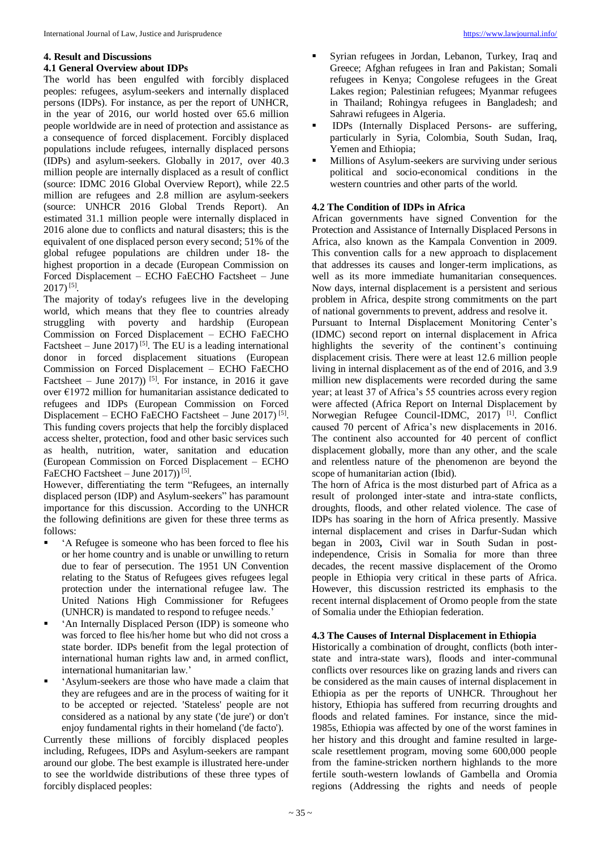### **4. Result and Discussions**

#### **4.1 General Overview about IDPs**

The world has been engulfed with forcibly displaced peoples: refugees, asylum-seekers and internally displaced persons (IDPs). For instance, as per the report of UNHCR, in the year of 2016, our world hosted over 65.6 million people worldwide are in need of protection and assistance as a consequence of forced displacement. Forcibly displaced populations include refugees, internally displaced persons (IDPs) and asylum-seekers. Globally in 2017, over 40.3 million people are internally displaced as a result of conflict (source: IDMC 2016 Global Overview Report), while 22.5 million are refugees and 2.8 million are asylum-seekers (source: UNHCR 2016 Global Trends Report). An estimated 31.1 million people were internally displaced in 2016 alone due to conflicts and natural disasters; this is the equivalent of one displaced person every second; 51% of the global refugee populations are children under 18- the highest proportion in a decade (European Commission on Forced Displacement – ECHO FaECHO Factsheet – June  $2017)^{[5]}$ .

The majority of today's refugees live in the developing world, which means that they flee to countries already struggling with poverty and hardship (European Commission on Forced Displacement – ECHO FaECHO Factsheet – June 2017)<sup>[5]</sup>. The EU is a leading international donor in forced displacement situations (European Commission on Forced Displacement – ECHO FaECHO Factsheet – June 2017))<sup>[5]</sup>. For instance, in 2016 it gave over €1972 million for humanitarian assistance dedicated to refugees and IDPs (European Commission on Forced Displacement – ECHO FaECHO Factsheet – June 2017)<sup>[5]</sup>. This funding covers projects that help the forcibly displaced access shelter, protection, food and other basic services such as health, nutrition, water, sanitation and education (European Commission on Forced Displacement – ECHO FaECHO Factsheet  $-$  June 2017))<sup>[5]</sup>.

However, differentiating the term "Refugees, an internally displaced person (IDP) and Asylum-seekers" has paramount importance for this discussion. According to the UNHCR the following definitions are given for these three terms as follows:

- 'A Refugee is someone who has been forced to flee his or her home country and is unable or unwilling to return due to fear of persecution. The 1951 UN Convention relating to the Status of Refugees gives refugees legal protection under the international refugee law. The United Nations High Commissioner for Refugees (UNHCR) is mandated to respond to refugee needs.'
- 'An Internally Displaced Person (IDP) is someone who was forced to flee his/her home but who did not cross a state border. IDPs benefit from the legal protection of international human rights law and, in armed conflict, international humanitarian law.'
- 'Asylum-seekers are those who have made a claim that they are refugees and are in the process of waiting for it to be accepted or rejected. 'Stateless' people are not considered as a national by any state ('de jure') or don't enjoy fundamental rights in their homeland ('de facto').

Currently these millions of forcibly displaced peoples including, Refugees, IDPs and Asylum-seekers are rampant around our globe. The best example is illustrated here-under to see the worldwide distributions of these three types of forcibly displaced peoples:

- Syrian refugees in Jordan, Lebanon, Turkey, Iraq and Greece; Afghan refugees in Iran and Pakistan; Somali refugees in Kenya; Congolese refugees in the Great Lakes region; Palestinian refugees; Myanmar refugees in Thailand; Rohingya refugees in Bangladesh; and Sahrawi refugees in Algeria.
- IDPs (Internally Displaced Persons- are suffering, particularly in Syria, Colombia, South Sudan, Iraq, Yemen and Ethiopia;
- Millions of Asylum-seekers are surviving under serious political and socio-economical conditions in the western countries and other parts of the world.

## **4.2 The Condition of IDPs in Africa**

African governments have signed Convention for the Protection and Assistance of Internally Displaced Persons in Africa, also known as the Kampala Convention in 2009. This convention calls for a new approach to displacement that addresses its causes and longer-term implications, as well as its more immediate humanitarian consequences. Now days, internal displacement is a persistent and serious problem in Africa, despite strong commitments on the part of national governments to prevent, address and resolve it.

Pursuant to Internal Displacement Monitoring Center's (IDMC) second report on internal displacement in Africa highlights the severity of the continent's continuing displacement crisis. There were at least 12.6 million people living in internal displacement as of the end of 2016, and 3.9 million new displacements were recorded during the same year; at least 37 of Africa's 55 countries across every region were affected (Africa Report on Internal Displacement by Norwegian Refugee Council-IDMC, 2017)<sup>[1]</sup>. Conflict caused 70 percent of Africa's new displacements in 2016. The continent also accounted for 40 percent of conflict displacement globally, more than any other, and the scale and relentless nature of the phenomenon are beyond the scope of humanitarian action (Ibid).

The horn of Africa is the most disturbed part of Africa as a result of prolonged inter-state and intra-state conflicts, droughts, floods, and other related violence. The case of IDPs has soaring in the horn of Africa presently. Massive internal displacement and crises in Darfur-Sudan which began in 2003**,** Civil war in South Sudan in postindependence, Crisis in Somalia for more than three decades, the recent massive displacement of the Oromo people in Ethiopia very critical in these parts of Africa. However, this discussion restricted its emphasis to the recent internal displacement of Oromo people from the state of Somalia under the Ethiopian federation.

## **4.3 The Causes of Internal Displacement in Ethiopia**

Historically a combination of drought, conflicts (both interstate and intra-state wars), floods and inter-communal conflicts over resources like on grazing lands and rivers can be considered as the main causes of internal displacement in Ethiopia as per the reports of UNHCR. Throughout her history, Ethiopia has suffered from recurring droughts and floods and related famines. For instance, since the mid-1985s, Ethiopia was affected by one of the worst famines in her history and this drought and famine resulted in largescale resettlement program, moving some 600,000 people from the famine-stricken northern highlands to the more fertile south-western lowlands of Gambella and Oromia regions (Addressing the rights and needs of people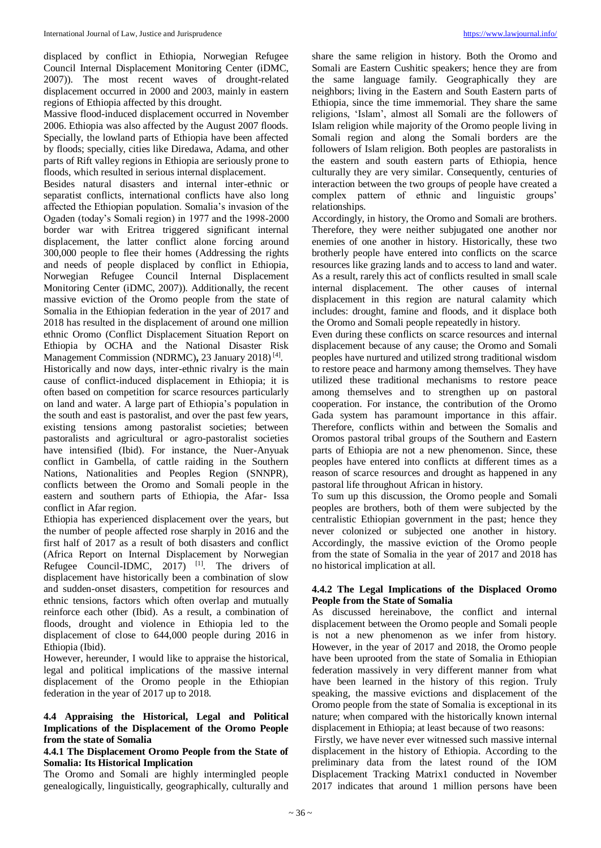displaced by conflict in Ethiopia, Norwegian Refugee Council Internal Displacement Monitoring Center (iDMC, 2007)). The most recent waves of drought-related displacement occurred in 2000 and 2003, mainly in eastern regions of Ethiopia affected by this drought.

Massive flood-induced displacement occurred in November 2006. Ethiopia was also affected by the August 2007 floods. Specially, the lowland parts of Ethiopia have been affected by floods; specially, cities like Diredawa, Adama, and other parts of Rift valley regions in Ethiopia are seriously prone to floods, which resulted in serious internal displacement.

Besides natural disasters and internal inter-ethnic or separatist conflicts, international conflicts have also long affected the Ethiopian population. Somalia's invasion of the Ogaden (today's Somali region) in 1977 and the 1998-2000 border war with Eritrea triggered significant internal displacement, the latter conflict alone forcing around 300,000 people to flee their homes (Addressing the rights and needs of people displaced by conflict in Ethiopia, Norwegian Refugee Council Internal Displacement Monitoring Center (iDMC, 2007)). Additionally, the recent massive eviction of the Oromo people from the state of Somalia in the Ethiopian federation in the year of 2017 and 2018 has resulted in the displacement of around one million ethnic Oromo (Conflict Displacement Situation Report on Ethiopia by OCHA and the National Disaster Risk Management Commission (NDRMC), 23 January 2018)<sup>[4]</sup>.

Historically and now days, inter-ethnic rivalry is the main cause of conflict-induced displacement in Ethiopia; it is often based on competition for scarce resources particularly on land and water. A large part of Ethiopia's population in the south and east is pastoralist, and over the past few years, existing tensions among pastoralist societies; between pastoralists and agricultural or agro-pastoralist societies have intensified (Ibid). For instance, the Nuer-Anyuak conflict in Gambella, of cattle raiding in the Southern Nations, Nationalities and Peoples Region (SNNPR), conflicts between the Oromo and Somali people in the eastern and southern parts of Ethiopia, the Afar- Issa conflict in Afar region.

Ethiopia has experienced displacement over the years, but the number of people affected rose sharply in 2016 and the first half of 2017 as a result of both disasters and conflict (Africa Report on Internal Displacement by Norwegian Refugee Council-IDMC,  $2017$ )<sup>[1]</sup>. The drivers of displacement have historically been a combination of slow and sudden-onset disasters, competition for resources and ethnic tensions, factors which often overlap and mutually reinforce each other (Ibid). As a result, a combination of floods, drought and violence in Ethiopia led to the displacement of close to 644,000 people during 2016 in Ethiopia (Ibid).

However, hereunder, I would like to appraise the historical, legal and political implications of the massive internal displacement of the Oromo people in the Ethiopian federation in the year of 2017 up to 2018.

#### **4.4 Appraising the Historical, Legal and Political Implications of the Displacement of the Oromo People from the state of Somalia**

#### **4.4.1 The Displacement Oromo People from the State of Somalia: Its Historical Implication**

The Oromo and Somali are highly intermingled people genealogically, linguistically, geographically, culturally and

share the same religion in history. Both the Oromo and Somali are Eastern Cushitic speakers; hence they are from the same language family. Geographically they are neighbors; living in the Eastern and South Eastern parts of Ethiopia, since the time immemorial. They share the same religions, 'Islam', almost all Somali are the followers of Islam religion while majority of the Oromo people living in Somali region and along the Somali borders are the followers of Islam religion. Both peoples are pastoralists in the eastern and south eastern parts of Ethiopia, hence culturally they are very similar. Consequently, centuries of interaction between the two groups of people have created a complex pattern of ethnic and linguistic groups' relationships.

Accordingly, in history, the Oromo and Somali are brothers. Therefore, they were neither subjugated one another nor enemies of one another in history. Historically, these two brotherly people have entered into conflicts on the scarce resources like grazing lands and to access to land and water. As a result, rarely this act of conflicts resulted in small scale internal displacement. The other causes of internal displacement in this region are natural calamity which includes: drought, famine and floods, and it displace both the Oromo and Somali people repeatedly in history.

Even during these conflicts on scarce resources and internal displacement because of any cause; the Oromo and Somali peoples have nurtured and utilized strong traditional wisdom to restore peace and harmony among themselves. They have utilized these traditional mechanisms to restore peace among themselves and to strengthen up on pastoral cooperation. For instance, the contribution of the Oromo Gada system has paramount importance in this affair. Therefore, conflicts within and between the Somalis and Oromos pastoral tribal groups of the Southern and Eastern parts of Ethiopia are not a new phenomenon. Since, these peoples have entered into conflicts at different times as a reason of scarce resources and drought as happened in any pastoral life throughout African in history.

To sum up this discussion, the Oromo people and Somali peoples are brothers, both of them were subjected by the centralistic Ethiopian government in the past; hence they never colonized or subjected one another in history. Accordingly, the massive eviction of the Oromo people from the state of Somalia in the year of 2017 and 2018 has no historical implication at all.

## **4.4.2 The Legal Implications of the Displaced Oromo People from the State of Somalia**

As discussed hereinabove, the conflict and internal displacement between the Oromo people and Somali people is not a new phenomenon as we infer from history. However, in the year of 2017 and 2018, the Oromo people have been uprooted from the state of Somalia in Ethiopian federation massively in very different manner from what have been learned in the history of this region. Truly speaking, the massive evictions and displacement of the Oromo people from the state of Somalia is exceptional in its nature; when compared with the historically known internal displacement in Ethiopia; at least because of two reasons:

Firstly, we have never ever witnessed such massive internal displacement in the history of Ethiopia. According to the preliminary data from the latest round of the IOM Displacement Tracking Matrix1 conducted in November 2017 indicates that around 1 million persons have been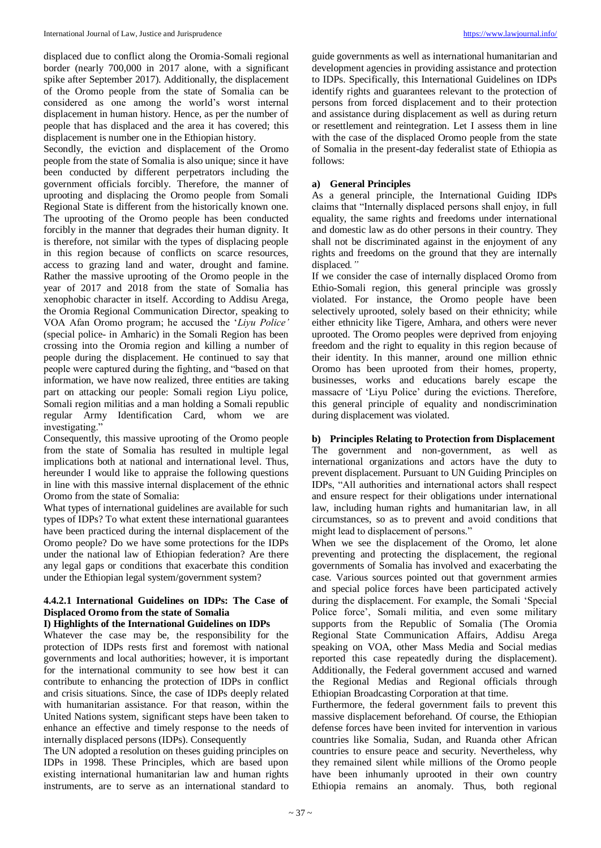displaced due to conflict along the Oromia-Somali regional border (nearly 700,000 in 2017 alone, with a significant spike after September 2017). Additionally, the displacement of the Oromo people from the state of Somalia can be considered as one among the world's worst internal displacement in human history. Hence, as per the number of people that has displaced and the area it has covered; this displacement is number one in the Ethiopian history.

Secondly, the eviction and displacement of the Oromo people from the state of Somalia is also unique; since it have been conducted by different perpetrators including the government officials forcibly. Therefore, the manner of uprooting and displacing the Oromo people from Somali Regional State is different from the historically known one. The uprooting of the Oromo people has been conducted forcibly in the manner that degrades their human dignity. It is therefore, not similar with the types of displacing people in this region because of conflicts on scarce resources, access to grazing land and water, drought and famine. Rather the massive uprooting of the Oromo people in the year of 2017 and 2018 from the state of Somalia has xenophobic character in itself. According to Addisu Arega, the Oromia Regional Communication Director, speaking to VOA Afan Oromo program; he accused the '*Liyu Police'* (special police- in Amharic) in the Somali Region has been crossing into the Oromia region and killing a number of people during the displacement. He continued to say that people were captured during the fighting, and "based on that information, we have now realized, three entities are taking part on attacking our people: Somali region Liyu police, Somali region militias and a man holding a Somali republic regular Army Identification Card, whom we are investigating."

Consequently, this massive uprooting of the Oromo people from the state of Somalia has resulted in multiple legal implications both at national and international level. Thus, hereunder I would like to appraise the following questions in line with this massive internal displacement of the ethnic Oromo from the state of Somalia:

What types of international guidelines are available for such types of IDPs? To what extent these international guarantees have been practiced during the internal displacement of the Oromo people? Do we have some protections for the IDPs under the national law of Ethiopian federation? Are there any legal gaps or conditions that exacerbate this condition under the Ethiopian legal system/government system?

## **4.4.2.1 International Guidelines on IDPs: The Case of Displaced Oromo from the state of Somalia**

## **I) Highlights of the International Guidelines on IDPs**

Whatever the case may be, the responsibility for the protection of IDPs rests first and foremost with national governments and local authorities; however, it is important for the international community to see how best it can contribute to enhancing the protection of IDPs in conflict and crisis situations. Since, the case of IDPs deeply related with humanitarian assistance. For that reason, within the United Nations system, significant steps have been taken to enhance an effective and timely response to the needs of internally displaced persons (IDPs). Consequently

The UN adopted a resolution on theses guiding principles on IDPs in 1998. These Principles, which are based upon existing international humanitarian law and human rights instruments, are to serve as an international standard to

guide governments as well as international humanitarian and development agencies in providing assistance and protection to IDPs. Specifically, this International Guidelines on IDPs identify rights and guarantees relevant to the protection of persons from forced displacement and to their protection and assistance during displacement as well as during return or resettlement and reintegration. Let I assess them in line with the case of the displaced Oromo people from the state of Somalia in the present-day federalist state of Ethiopia as follows:

## **a) General Principles**

As a general principle, the International Guiding IDPs claims that "Internally displaced persons shall enjoy, in full equality, the same rights and freedoms under international and domestic law as do other persons in their country. They shall not be discriminated against in the enjoyment of any rights and freedoms on the ground that they are internally displaced*."*

If we consider the case of internally displaced Oromo from Ethio-Somali region, this general principle was grossly violated. For instance, the Oromo people have been selectively uprooted, solely based on their ethnicity; while either ethnicity like Tigere, Amhara, and others were never uprooted. The Oromo peoples were deprived from enjoying freedom and the right to equality in this region because of their identity. In this manner, around one million ethnic Oromo has been uprooted from their homes, property, businesses, works and educations barely escape the massacre of 'Liyu Police' during the evictions. Therefore, this general principle of equality and nondiscrimination during displacement was violated.

## **b) Principles Relating to Protection from Displacement**

The government and non-government, as well as international organizations and actors have the duty to prevent displacement. Pursuant to UN Guiding Principles on IDPs, "All authorities and international actors shall respect and ensure respect for their obligations under international law, including human rights and humanitarian law, in all circumstances, so as to prevent and avoid conditions that might lead to displacement of persons."

When we see the displacement of the Oromo, let alone preventing and protecting the displacement, the regional governments of Somalia has involved and exacerbating the case. Various sources pointed out that government armies and special police forces have been participated actively during the displacement. For example, the Somali 'Special Police force', Somali militia, and even some military supports from the Republic of Somalia (The Oromia Regional State Communication Affairs, Addisu Arega speaking on VOA, other Mass Media and Social medias reported this case repeatedly during the displacement). Additionally, the Federal government accused and warned the Regional Medias and Regional officials through Ethiopian Broadcasting Corporation at that time.

Furthermore, the federal government fails to prevent this massive displacement beforehand. Of course, the Ethiopian defense forces have been invited for intervention in various countries like Somalia, Sudan, and Ruanda other African countries to ensure peace and security. Nevertheless, why they remained silent while millions of the Oromo people have been inhumanly uprooted in their own country Ethiopia remains an anomaly. Thus, both regional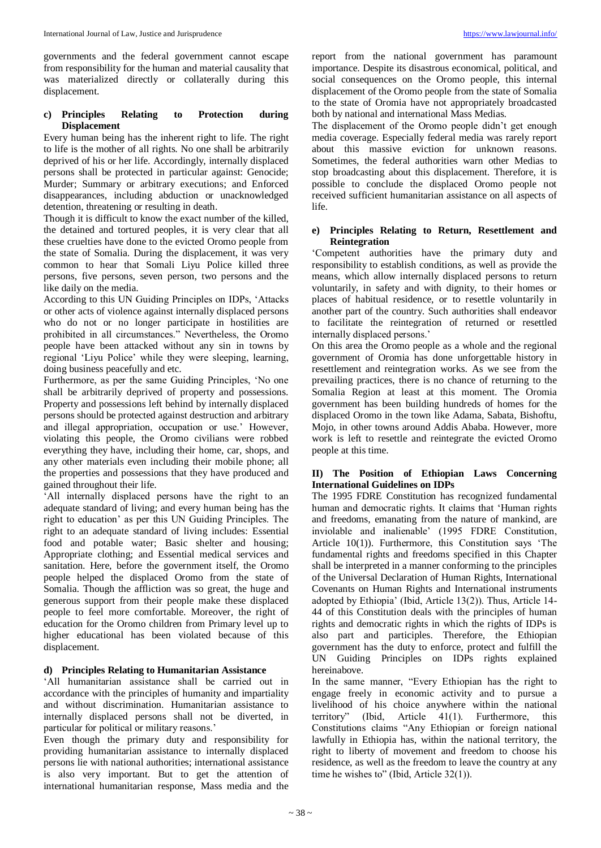governments and the federal government cannot escape from responsibility for the human and material causality that was materialized directly or collaterally during this displacement.

## **c) Principles Relating to Protection during Displacement**

Every human being has the inherent right to life. The right to life is the mother of all rights. No one shall be arbitrarily deprived of his or her life. Accordingly, internally displaced persons shall be protected in particular against: Genocide; Murder; Summary or arbitrary executions; and Enforced disappearances, including abduction or unacknowledged detention, threatening or resulting in death.

Though it is difficult to know the exact number of the killed, the detained and tortured peoples, it is very clear that all these cruelties have done to the evicted Oromo people from the state of Somalia. During the displacement, it was very common to hear that Somali Liyu Police killed three persons, five persons, seven person, two persons and the like daily on the media.

According to this UN Guiding Principles on IDPs, 'Attacks or other acts of violence against internally displaced persons who do not or no longer participate in hostilities are prohibited in all circumstances." Nevertheless, the Oromo people have been attacked without any sin in towns by regional 'Liyu Police' while they were sleeping, learning, doing business peacefully and etc.

Furthermore, as per the same Guiding Principles, 'No one shall be arbitrarily deprived of property and possessions. Property and possessions left behind by internally displaced persons should be protected against destruction and arbitrary and illegal appropriation, occupation or use.' However, violating this people, the Oromo civilians were robbed everything they have, including their home, car, shops, and any other materials even including their mobile phone; all the properties and possessions that they have produced and gained throughout their life.

'All internally displaced persons have the right to an adequate standard of living; and every human being has the right to education' as per this UN Guiding Principles. The right to an adequate standard of living includes: Essential food and potable water; Basic shelter and housing; Appropriate clothing; and Essential medical services and sanitation. Here, before the government itself, the Oromo people helped the displaced Oromo from the state of Somalia. Though the affliction was so great, the huge and generous support from their people make these displaced people to feel more comfortable. Moreover, the right of education for the Oromo children from Primary level up to higher educational has been violated because of this displacement.

## **d) Principles Relating to Humanitarian Assistance**

'All humanitarian assistance shall be carried out in accordance with the principles of humanity and impartiality and without discrimination. Humanitarian assistance to internally displaced persons shall not be diverted, in particular for political or military reasons.'

Even though the primary duty and responsibility for providing humanitarian assistance to internally displaced persons lie with national authorities; international assistance is also very important. But to get the attention of international humanitarian response, Mass media and the

report from the national government has paramount importance. Despite its disastrous economical, political, and social consequences on the Oromo people, this internal displacement of the Oromo people from the state of Somalia to the state of Oromia have not appropriately broadcasted both by national and international Mass Medias.

The displacement of the Oromo people didn't get enough media coverage. Especially federal media was rarely report about this massive eviction for unknown reasons. Sometimes, the federal authorities warn other Medias to stop broadcasting about this displacement. Therefore, it is possible to conclude the displaced Oromo people not received sufficient humanitarian assistance on all aspects of life.

## **e) Principles Relating to Return, Resettlement and Reintegration**

'Competent authorities have the primary duty and responsibility to establish conditions, as well as provide the means, which allow internally displaced persons to return voluntarily, in safety and with dignity, to their homes or places of habitual residence, or to resettle voluntarily in another part of the country. Such authorities shall endeavor to facilitate the reintegration of returned or resettled internally displaced persons.'

On this area the Oromo people as a whole and the regional government of Oromia has done unforgettable history in resettlement and reintegration works. As we see from the prevailing practices, there is no chance of returning to the Somalia Region at least at this moment. The Oromia government has been building hundreds of homes for the displaced Oromo in the town like Adama, Sabata, Bishoftu, Mojo, in other towns around Addis Ababa. However, more work is left to resettle and reintegrate the evicted Oromo people at this time.

## **II) The Position of Ethiopian Laws Concerning International Guidelines on IDPs**

The 1995 FDRE Constitution has recognized fundamental human and democratic rights. It claims that 'Human rights and freedoms, emanating from the nature of mankind, are inviolable and inalienable' (1995 FDRE Constitution, Article 10(1)). Furthermore, this Constitution says 'The fundamental rights and freedoms specified in this Chapter shall be interpreted in a manner conforming to the principles of the Universal Declaration of Human Rights, International Covenants on Human Rights and International instruments adopted by Ethiopia' (Ibid, Article 13(2)). Thus, Article 14- 44 of this Constitution deals with the principles of human rights and democratic rights in which the rights of IDPs is also part and participles. Therefore, the Ethiopian government has the duty to enforce, protect and fulfill the UN Guiding Principles on IDPs rights explained hereinabove.

In the same manner, "Every Ethiopian has the right to engage freely in economic activity and to pursue a livelihood of his choice anywhere within the national territory" (Ibid, Article 41(1). Furthermore, this Constitutions claims "Any Ethiopian or foreign national lawfully in Ethiopia has, within the national territory, the right to liberty of movement and freedom to choose his residence, as well as the freedom to leave the country at any time he wishes to" (Ibid, Article 32(1)).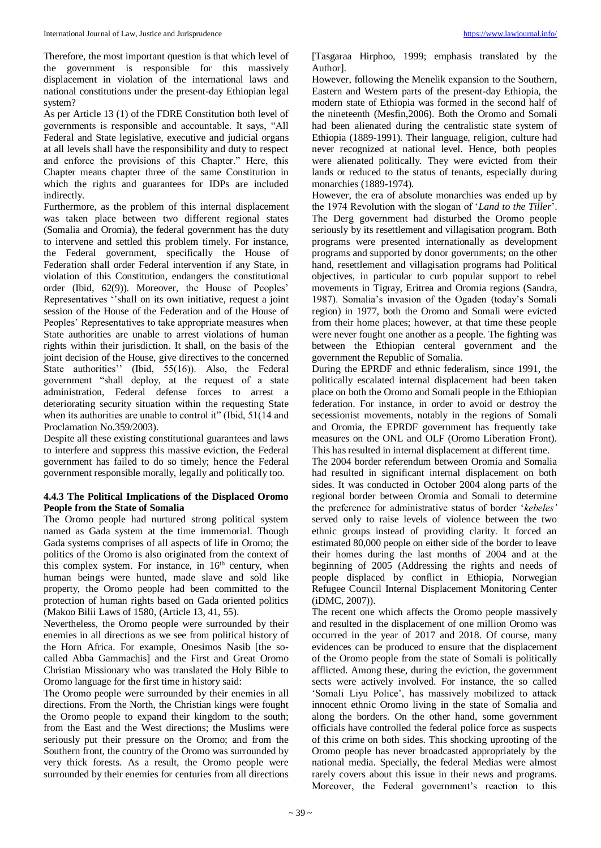Therefore, the most important question is that which level of the government is responsible for this massively displacement in violation of the international laws and national constitutions under the present-day Ethiopian legal system?

As per Article 13 (1) of the FDRE Constitution both level of governments is responsible and accountable. It says, "All Federal and State legislative, executive and judicial organs at all levels shall have the responsibility and duty to respect and enforce the provisions of this Chapter." Here, this Chapter means chapter three of the same Constitution in which the rights and guarantees for IDPs are included indirectly.

Furthermore, as the problem of this internal displacement was taken place between two different regional states (Somalia and Oromia), the federal government has the duty to intervene and settled this problem timely. For instance, the Federal government, specifically the House of Federation shall order Federal intervention if any State, in violation of this Constitution, endangers the constitutional order (Ibid, 62(9)). Moreover, the House of Peoples' Representatives ''shall on its own initiative, request a joint session of the House of the Federation and of the House of Peoples' Representatives to take appropriate measures when State authorities are unable to arrest violations of human rights within their jurisdiction. It shall, on the basis of the joint decision of the House, give directives to the concerned State authorities'' (Ibid, 55(16)). Also, the Federal government "shall deploy, at the request of a state administration, Federal defense forces to arrest a deteriorating security situation within the requesting State when its authorities are unable to control it" (Ibid, 51(14 and Proclamation No.359/2003).

Despite all these existing constitutional guarantees and laws to interfere and suppress this massive eviction, the Federal government has failed to do so timely; hence the Federal government responsible morally, legally and politically too.

## **4.4.3 The Political Implications of the Displaced Oromo People from the State of Somalia**

The Oromo people had nurtured strong political system named as Gada system at the time immemorial. Though Gada systems comprises of all aspects of life in Oromo; the politics of the Oromo is also originated from the context of this complex system. For instance, in  $16<sup>th</sup>$  century, when human beings were hunted, made slave and sold like property, the Oromo people had been committed to the protection of human rights based on Gada oriented politics (Makoo Bilii Laws of 1580, (Article 13, 41, 55).

Nevertheless, the Oromo people were surrounded by their enemies in all directions as we see from political history of the Horn Africa. For example, Onesimos Nasib [the socalled Abba Gammachis] and the First and Great Oromo Christian Missionary who was translated the Holy Bible to Oromo language for the first time in history said:

The Oromo people were surrounded by their enemies in all directions. From the North, the Christian kings were fought the Oromo people to expand their kingdom to the south; from the East and the West directions; the Muslims were seriously put their pressure on the Oromo; and from the Southern front, the country of the Oromo was surrounded by very thick forests. As a result, the Oromo people were surrounded by their enemies for centuries from all directions

[Tasgaraa Hirphoo, 1999; emphasis translated by the Author].

However, following the Menelik expansion to the Southern, Eastern and Western parts of the present-day Ethiopia, the modern state of Ethiopia was formed in the second half of the nineteenth (Mesfin,2006). Both the Oromo and Somali had been alienated during the centralistic state system of Ethiopia (1889-1991). Their language, religion, culture had never recognized at national level. Hence, both peoples were alienated politically. They were evicted from their lands or reduced to the status of tenants, especially during monarchies (1889-1974).

However, the era of absolute monarchies was ended up by the 1974 Revolution with the slogan of '*Land to the Tiller*'. The Derg government had disturbed the Oromo people seriously by its resettlement and villagisation program. Both programs were presented internationally as development programs and supported by donor governments; on the other hand, resettlement and villagisation programs had Political objectives, in particular to curb popular support to rebel movements in Tigray, Eritrea and Oromia regions (Sandra, 1987). Somalia's invasion of the Ogaden (today's Somali region) in 1977, both the Oromo and Somali were evicted from their home places; however, at that time these people were never fought one another as a people. The fighting was between the Ethiopian centeral government and the government the Republic of Somalia.

During the EPRDF and ethnic federalism, since 1991, the politically escalated internal displacement had been taken place on both the Oromo and Somali people in the Ethiopian federation. For instance, in order to avoid or destroy the secessionist movements, notably in the regions of Somali and Oromia, the EPRDF government has frequently take measures on the ONL and OLF (Oromo Liberation Front). This has resulted in internal displacement at different time.

The 2004 border referendum between Oromia and Somalia had resulted in significant internal displacement on both sides. It was conducted in October 2004 along parts of the regional border between Oromia and Somali to determine the preference for administrative status of border '*kebeles'* served only to raise levels of violence between the two ethnic groups instead of providing clarity. It forced an estimated 80,000 people on either side of the border to leave their homes during the last months of 2004 and at the beginning of 2005 (Addressing the rights and needs of people displaced by conflict in Ethiopia, Norwegian Refugee Council Internal Displacement Monitoring Center (iDMC, 2007)).

The recent one which affects the Oromo people massively and resulted in the displacement of one million Oromo was occurred in the year of 2017 and 2018. Of course, many evidences can be produced to ensure that the displacement of the Oromo people from the state of Somali is politically afflicted. Among these, during the eviction, the government sects were actively involved. For instance, the so called 'Somali Liyu Police', has massively mobilized to attack innocent ethnic Oromo living in the state of Somalia and along the borders. On the other hand, some government officials have controlled the federal police force as suspects of this crime on both sides. This shocking uprooting of the Oromo people has never broadcasted appropriately by the national media. Specially, the federal Medias were almost rarely covers about this issue in their news and programs. Moreover, the Federal government's reaction to this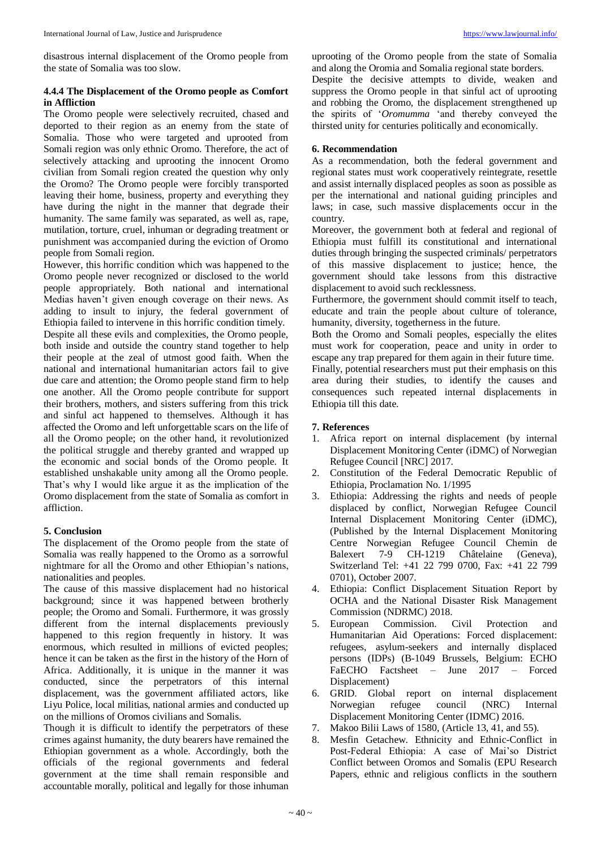disastrous internal displacement of the Oromo people from the state of Somalia was too slow.

### **4.4.4 The Displacement of the Oromo people as Comfort in Affliction**

The Oromo people were selectively recruited, chased and deported to their region as an enemy from the state of Somalia. Those who were targeted and uprooted from Somali region was only ethnic Oromo. Therefore, the act of selectively attacking and uprooting the innocent Oromo civilian from Somali region created the question why only the Oromo? The Oromo people were forcibly transported leaving their home, business, property and everything they have during the night in the manner that degrade their humanity. The same family was separated, as well as, rape, mutilation, torture, cruel, inhuman or degrading treatment or punishment was accompanied during the eviction of Oromo people from Somali region.

However, this horrific condition which was happened to the Oromo people never recognized or disclosed to the world people appropriately. Both national and international Medias haven't given enough coverage on their news. As adding to insult to injury, the federal government of Ethiopia failed to intervene in this horrific condition timely. Despite all these evils and complexities, the Oromo people, both inside and outside the country stand together to help their people at the zeal of utmost good faith. When the national and international humanitarian actors fail to give due care and attention; the Oromo people stand firm to help one another. All the Oromo people contribute for support their brothers, mothers, and sisters suffering from this trick and sinful act happened to themselves. Although it has affected the Oromo and left unforgettable scars on the life of all the Oromo people; on the other hand, it revolutionized the political struggle and thereby granted and wrapped up the economic and social bonds of the Oromo people. It established unshakable unity among all the Oromo people. That's why I would like argue it as the implication of the Oromo displacement from the state of Somalia as comfort in affliction.

#### **5. Conclusion**

The displacement of the Oromo people from the state of Somalia was really happened to the Oromo as a sorrowful nightmare for all the Oromo and other Ethiopian's nations, nationalities and peoples.

The cause of this massive displacement had no historical background; since it was happened between brotherly people; the Oromo and Somali. Furthermore, it was grossly different from the internal displacements previously happened to this region frequently in history. It was enormous, which resulted in millions of evicted peoples; hence it can be taken as the first in the history of the Horn of Africa. Additionally, it is unique in the manner it was conducted, since the perpetrators of this internal displacement, was the government affiliated actors, like Liyu Police, local militias, national armies and conducted up on the millions of Oromos civilians and Somalis.

Though it is difficult to identify the perpetrators of these crimes against humanity, the duty bearers have remained the Ethiopian government as a whole. Accordingly, both the officials of the regional governments and federal government at the time shall remain responsible and accountable morally, political and legally for those inhuman

uprooting of the Oromo people from the state of Somalia and along the Oromia and Somalia regional state borders. Despite the decisive attempts to divide, weaken and suppress the Oromo people in that sinful act of uprooting and robbing the Oromo, the displacement strengthened up the spirits of '*Oromumma* 'and thereby conveyed the thirsted unity for centuries politically and economically.

#### **6. Recommendation**

As a recommendation, both the federal government and regional states must work cooperatively reintegrate, resettle and assist internally displaced peoples as soon as possible as per the international and national guiding principles and laws; in case, such massive displacements occur in the country.

Moreover, the government both at federal and regional of Ethiopia must fulfill its constitutional and international duties through bringing the suspected criminals/ perpetrators of this massive displacement to justice; hence, the government should take lessons from this distractive displacement to avoid such recklessness.

Furthermore, the government should commit itself to teach, educate and train the people about culture of tolerance, humanity, diversity, togetherness in the future.

Both the Oromo and Somali peoples, especially the elites must work for cooperation, peace and unity in order to escape any trap prepared for them again in their future time. Finally, potential researchers must put their emphasis on this

area during their studies, to identify the causes and consequences such repeated internal displacements in Ethiopia till this date.

### **7. References**

- 1. Africa report on internal displacement (by internal Displacement Monitoring Center (iDMC) of Norwegian Refugee Council [NRC] 2017.
- 2. Constitution of the Federal Democratic Republic of Ethiopia, Proclamation No. 1/1995
- 3. Ethiopia: Addressing the rights and needs of people displaced by conflict, Norwegian Refugee Council Internal Displacement Monitoring Center (iDMC), (Published by the Internal Displacement Monitoring Centre Norwegian Refugee Council Chemin de Balexert 7-9 CH-1219 Châtelaine (Geneva), Switzerland Tel: +41 22 799 0700, Fax: +41 22 799 0701), October 2007.
- 4. Ethiopia: Conflict Displacement Situation Report by OCHA and the National Disaster Risk Management Commission (NDRMC) 2018.
- 5. European Commission. Civil Protection and Humanitarian Aid Operations: Forced displacement: refugees, asylum-seekers and internally displaced persons (IDPs) (B-1049 Brussels, Belgium: ECHO FaECHO Factsheet – June 2017 – Forced Displacement)
- 6. GRID. Global report on internal displacement Norwegian refugee council (NRC) Internal Displacement Monitoring Center (IDMC) 2016.
- 7. Makoo Bilii Laws of 1580, (Article 13, 41, and 55).
- 8. Mesfin Getachew. Ethnicity and Ethnic-Conflict in Post-Federal Ethiopia: A case of Mai'so District Conflict between Oromos and Somalis (EPU Research Papers, ethnic and religious conflicts in the southern